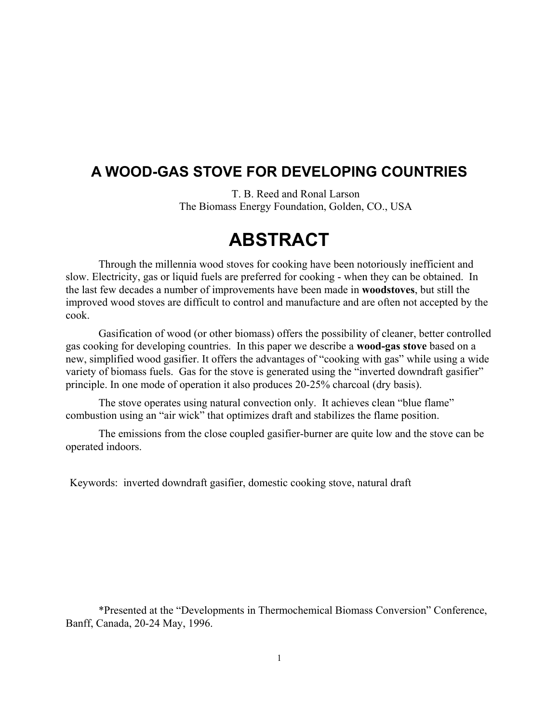### **A WOOD-GAS STOVE FOR DEVELOPING COUNTRIES**

T. B. Reed and Ronal Larson The Biomass Energy Foundation, Golden, CO., USA

# **ABSTRACT**

Through the millennia wood stoves for cooking have been notoriously inefficient and slow. Electricity, gas or liquid fuels are preferred for cooking - when they can be obtained. In the last few decades a number of improvements have been made in **woodstoves**, but still the improved wood stoves are difficult to control and manufacture and are often not accepted by the cook.

Gasification of wood (or other biomass) offers the possibility of cleaner, better controlled gas cooking for developing countries. In this paper we describe a **wood-gas stove** based on a new, simplified wood gasifier. It offers the advantages of "cooking with gas" while using a wide variety of biomass fuels. Gas for the stove is generated using the "inverted downdraft gasifier" principle. In one mode of operation it also produces 20-25% charcoal (dry basis).

The stove operates using natural convection only. It achieves clean "blue flame" combustion using an "air wick" that optimizes draft and stabilizes the flame position.

The emissions from the close coupled gasifier-burner are quite low and the stove can be operated indoors.

Keywords: inverted downdraft gasifier, domestic cooking stove, natural draft

\*Presented at the "Developments in Thermochemical Biomass Conversion" Conference, Banff, Canada, 20-24 May, 1996.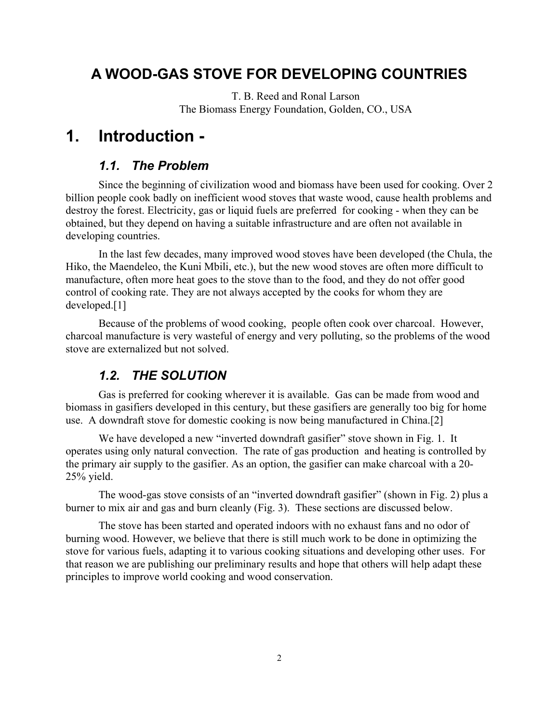### **A WOOD-GAS STOVE FOR DEVELOPING COUNTRIES**

T. B. Reed and Ronal Larson The Biomass Energy Foundation, Golden, CO., USA

## **1. Introduction -**

#### *1.1. The Problem*

Since the beginning of civilization wood and biomass have been used for cooking. Over 2 billion people cook badly on inefficient wood stoves that waste wood, cause health problems and destroy the forest. Electricity, gas or liquid fuels are preferred for cooking - when they can be obtained, but they depend on having a suitable infrastructure and are often not available in developing countries.

In the last few decades, many improved wood stoves have been developed (the Chula, the Hiko, the Maendeleo, the Kuni Mbili, etc.), but the new wood stoves are often more difficult to manufacture, often more heat goes to the stove than to the food, and they do not offer good control of cooking rate. They are not always accepted by the cooks for whom they are developed.[1]

Because of the problems of wood cooking, people often cook over charcoal. However, charcoal manufacture is very wasteful of energy and very polluting, so the problems of the wood stove are externalized but not solved.

#### *1.2. THE SOLUTION*

Gas is preferred for cooking wherever it is available. Gas can be made from wood and biomass in gasifiers developed in this century, but these gasifiers are generally too big for home use. A downdraft stove for domestic cooking is now being manufactured in China.[2]

We have developed a new "inverted downdraft gasifier" stove shown in Fig. 1. It operates using only natural convection. The rate of gas production and heating is controlled by the primary air supply to the gasifier. As an option, the gasifier can make charcoal with a 20- 25% yield.

The wood-gas stove consists of an "inverted downdraft gasifier" (shown in Fig. 2) plus a burner to mix air and gas and burn cleanly (Fig. 3). These sections are discussed below.

The stove has been started and operated indoors with no exhaust fans and no odor of burning wood. However, we believe that there is still much work to be done in optimizing the stove for various fuels, adapting it to various cooking situations and developing other uses. For that reason we are publishing our preliminary results and hope that others will help adapt these principles to improve world cooking and wood conservation.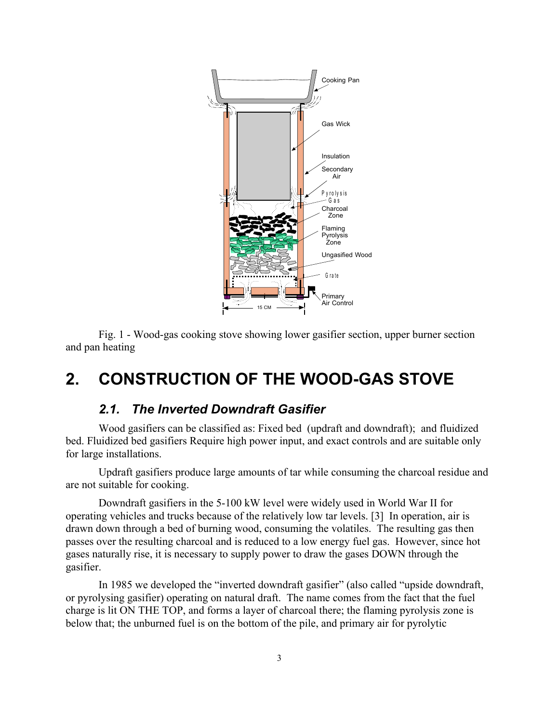

Fig. 1 - Wood-gas cooking stove showing lower gasifier section, upper burner section and pan heating

## **2. CONSTRUCTION OF THE WOOD-GAS STOVE**

#### *2.1. The Inverted Downdraft Gasifier*

Wood gasifiers can be classified as: Fixed bed (updraft and downdraft); and fluidized bed. Fluidized bed gasifiers Require high power input, and exact controls and are suitable only for large installations.

Updraft gasifiers produce large amounts of tar while consuming the charcoal residue and are not suitable for cooking.

Downdraft gasifiers in the 5-100 kW level were widely used in World War II for operating vehicles and trucks because of the relatively low tar levels. [3] In operation, air is drawn down through a bed of burning wood, consuming the volatiles. The resulting gas then passes over the resulting charcoal and is reduced to a low energy fuel gas. However, since hot gases naturally rise, it is necessary to supply power to draw the gases DOWN through the gasifier.

In 1985 we developed the "inverted downdraft gasifier" (also called "upside downdraft, or pyrolysing gasifier) operating on natural draft. The name comes from the fact that the fuel charge is lit ON THE TOP, and forms a layer of charcoal there; the flaming pyrolysis zone is below that; the unburned fuel is on the bottom of the pile, and primary air for pyrolytic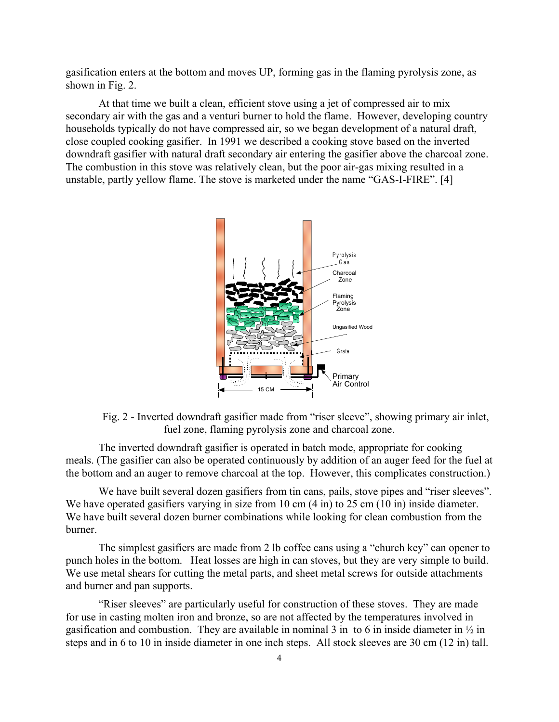gasification enters at the bottom and moves UP, forming gas in the flaming pyrolysis zone, as shown in Fig. 2.

At that time we built a clean, efficient stove using a jet of compressed air to mix secondary air with the gas and a venturi burner to hold the flame. However, developing country households typically do not have compressed air, so we began development of a natural draft, close coupled cooking gasifier. In 1991 we described a cooking stove based on the inverted downdraft gasifier with natural draft secondary air entering the gasifier above the charcoal zone. The combustion in this stove was relatively clean, but the poor air-gas mixing resulted in a unstable, partly yellow flame. The stove is marketed under the name "GAS-I-FIRE". [4]



Fig. 2 - Inverted downdraft gasifier made from "riser sleeve", showing primary air inlet, fuel zone, flaming pyrolysis zone and charcoal zone.

The inverted downdraft gasifier is operated in batch mode, appropriate for cooking meals. (The gasifier can also be operated continuously by addition of an auger feed for the fuel at the bottom and an auger to remove charcoal at the top. However, this complicates construction.)

We have built several dozen gasifiers from tin cans, pails, stove pipes and "riser sleeves". We have operated gasifiers varying in size from 10 cm  $(4 \text{ in})$  to 25 cm  $(10 \text{ in})$  inside diameter. We have built several dozen burner combinations while looking for clean combustion from the burner.

The simplest gasifiers are made from 2 lb coffee cans using a "church key" can opener to punch holes in the bottom. Heat losses are high in can stoves, but they are very simple to build. We use metal shears for cutting the metal parts, and sheet metal screws for outside attachments and burner and pan supports.

"Riser sleeves" are particularly useful for construction of these stoves. They are made for use in casting molten iron and bronze, so are not affected by the temperatures involved in gasification and combustion. They are available in nominal 3 in to 6 in inside diameter in  $\frac{1}{2}$  in steps and in 6 to 10 in inside diameter in one inch steps. All stock sleeves are 30 cm (12 in) tall.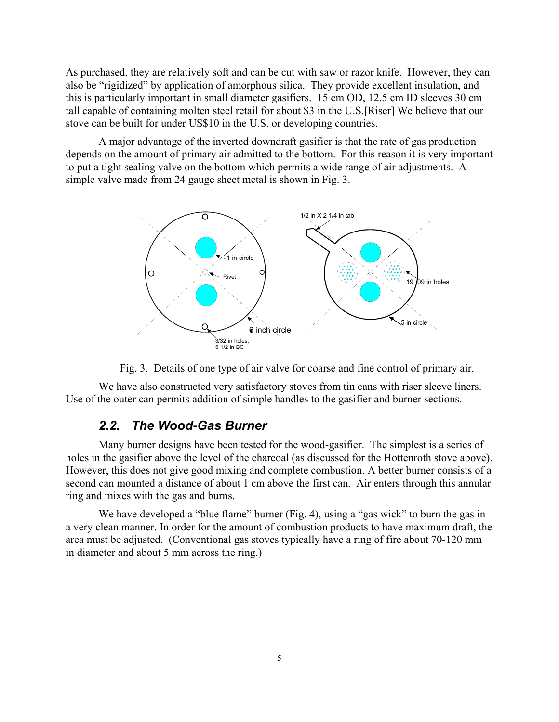As purchased, they are relatively soft and can be cut with saw or razor knife. However, they can also be "rigidized" by application of amorphous silica. They provide excellent insulation, and this is particularly important in small diameter gasifiers. 15 cm OD, 12.5 cm ID sleeves 30 cm tall capable of containing molten steel retail for about \$3 in the U.S.[Riser] We believe that our stove can be built for under US\$10 in the U.S. or developing countries.

A major advantage of the inverted downdraft gasifier is that the rate of gas production depends on the amount of primary air admitted to the bottom. For this reason it is very important to put a tight sealing valve on the bottom which permits a wide range of air adjustments. A simple valve made from 24 gauge sheet metal is shown in Fig. 3.





We have also constructed very satisfactory stoves from tin cans with riser sleeve liners. Use of the outer can permits addition of simple handles to the gasifier and burner sections.

#### *2.2. The Wood-Gas Burner*

Many burner designs have been tested for the wood-gasifier. The simplest is a series of holes in the gasifier above the level of the charcoal (as discussed for the Hottenroth stove above). However, this does not give good mixing and complete combustion. A better burner consists of a second can mounted a distance of about 1 cm above the first can. Air enters through this annular ring and mixes with the gas and burns.

We have developed a "blue flame" burner (Fig. 4), using a "gas wick" to burn the gas in a very clean manner. In order for the amount of combustion products to have maximum draft, the area must be adjusted. (Conventional gas stoves typically have a ring of fire about 70-120 mm in diameter and about 5 mm across the ring.)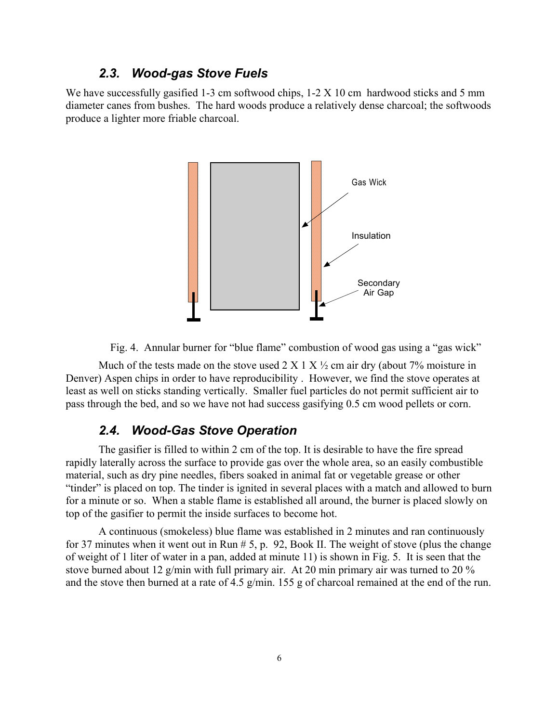#### *2.3. Wood-gas Stove Fuels*

We have successfully gasified 1-3 cm softwood chips,  $1-2 \times 10$  cm hardwood sticks and 5 mm diameter canes from bushes. The hard woods produce a relatively dense charcoal; the softwoods produce a lighter more friable charcoal.



Fig. 4. Annular burner for "blue flame" combustion of wood gas using a "gas wick"

Much of the tests made on the stove used  $2 \times 1 \times \frac{1}{2}$  cm air dry (about 7% moisture in Denver) Aspen chips in order to have reproducibility . However, we find the stove operates at least as well on sticks standing vertically. Smaller fuel particles do not permit sufficient air to pass through the bed, and so we have not had success gasifying 0.5 cm wood pellets or corn.

#### *2.4. Wood-Gas Stove Operation*

The gasifier is filled to within 2 cm of the top. It is desirable to have the fire spread rapidly laterally across the surface to provide gas over the whole area, so an easily combustible material, such as dry pine needles, fibers soaked in animal fat or vegetable grease or other "tinder" is placed on top. The tinder is ignited in several places with a match and allowed to burn for a minute or so. When a stable flame is established all around, the burner is placed slowly on top of the gasifier to permit the inside surfaces to become hot.

A continuous (smokeless) blue flame was established in 2 minutes and ran continuously for 37 minutes when it went out in Run # 5, p. 92, Book II. The weight of stove (plus the change of weight of 1 liter of water in a pan, added at minute 11) is shown in Fig. 5. It is seen that the stove burned about 12 g/min with full primary air. At 20 min primary air was turned to 20 % and the stove then burned at a rate of 4.5 g/min. 155 g of charcoal remained at the end of the run.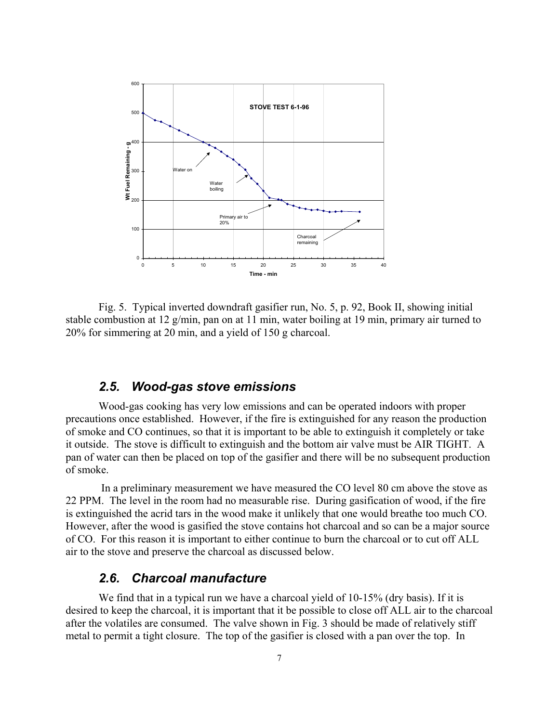

Fig. 5. Typical inverted downdraft gasifier run, No. 5, p. 92, Book II, showing initial stable combustion at 12 g/min, pan on at 11 min, water boiling at 19 min, primary air turned to 20% for simmering at 20 min, and a yield of 150 g charcoal.

#### *2.5. Wood-gas stove emissions*

Wood-gas cooking has very low emissions and can be operated indoors with proper precautions once established. However, if the fire is extinguished for any reason the production of smoke and CO continues, so that it is important to be able to extinguish it completely or take it outside. The stove is difficult to extinguish and the bottom air valve must be AIR TIGHT. A pan of water can then be placed on top of the gasifier and there will be no subsequent production of smoke.

 In a preliminary measurement we have measured the CO level 80 cm above the stove as 22 PPM. The level in the room had no measurable rise. During gasification of wood, if the fire is extinguished the acrid tars in the wood make it unlikely that one would breathe too much CO. However, after the wood is gasified the stove contains hot charcoal and so can be a major source of CO. For this reason it is important to either continue to burn the charcoal or to cut off ALL air to the stove and preserve the charcoal as discussed below.

#### *2.6. Charcoal manufacture*

We find that in a typical run we have a charcoal yield of 10-15% (dry basis). If it is desired to keep the charcoal, it is important that it be possible to close off ALL air to the charcoal after the volatiles are consumed. The valve shown in Fig. 3 should be made of relatively stiff metal to permit a tight closure. The top of the gasifier is closed with a pan over the top. In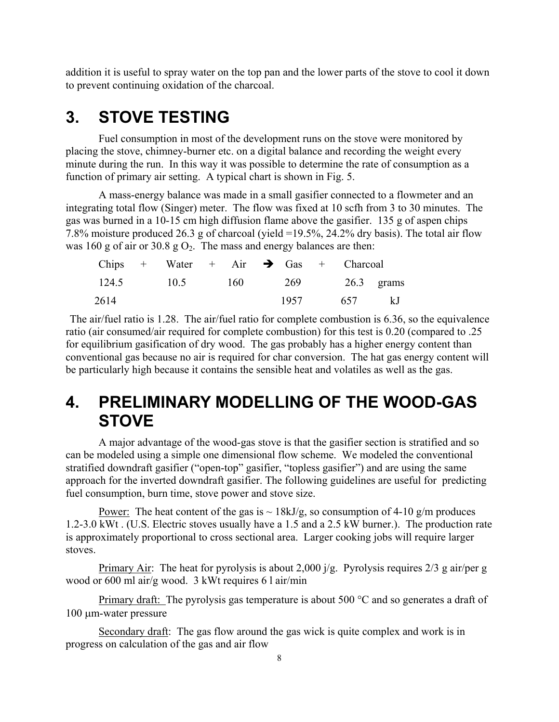addition it is useful to spray water on the top pan and the lower parts of the stove to cool it down to prevent continuing oxidation of the charcoal.

## **3. STOVE TESTING**

Fuel consumption in most of the development runs on the stove were monitored by placing the stove, chimney-burner etc. on a digital balance and recording the weight every minute during the run. In this way it was possible to determine the rate of consumption as a function of primary air setting. A typical chart is shown in Fig. 5.

A mass-energy balance was made in a small gasifier connected to a flowmeter and an integrating total flow (Singer) meter. The flow was fixed at 10 scfh from 3 to 30 minutes. The gas was burned in a 10-15 cm high diffusion flame above the gasifier. 135 g of aspen chips 7.8% moisture produced 26.3 g of charcoal (yield =19.5%, 24.2% dry basis). The total air flow was 160 g of air or 30.8 g  $O_2$ . The mass and energy balances are then:

|              |     |      |     | Chips + Water + Air $\rightarrow$ Gas + Charcoal |       |  |
|--------------|-----|------|-----|--------------------------------------------------|-------|--|
| $26.3$ grams |     | -269 | 160 | 10.5                                             | 124.5 |  |
| k.J          | 657 | 1957 |     |                                                  | 2614  |  |

The air/fuel ratio is 1.28. The air/fuel ratio for complete combustion is 6.36, so the equivalence ratio (air consumed/air required for complete combustion) for this test is 0.20 (compared to .25 for equilibrium gasification of dry wood. The gas probably has a higher energy content than conventional gas because no air is required for char conversion. The hat gas energy content will be particularly high because it contains the sensible heat and volatiles as well as the gas.

## **4. PRELIMINARY MODELLING OF THE WOOD-GAS STOVE**

A major advantage of the wood-gas stove is that the gasifier section is stratified and so can be modeled using a simple one dimensional flow scheme. We modeled the conventional stratified downdraft gasifier ("open-top" gasifier, "topless gasifier") and are using the same approach for the inverted downdraft gasifier. The following guidelines are useful for predicting fuel consumption, burn time, stove power and stove size.

Power: The heat content of the gas is  $\sim 18kJ/g$ , so consumption of 4-10 g/m produces 1.2-3.0 kWt . (U.S. Electric stoves usually have a 1.5 and a 2.5 kW burner.). The production rate is approximately proportional to cross sectional area. Larger cooking jobs will require larger stoves.

Primary Air: The heat for pyrolysis is about 2,000  $i/g$ . Pyrolysis requires 2/3 g air/per g wood or 600 ml air/g wood. 3 kWt requires 6 l air/min

Primary draft: The pyrolysis gas temperature is about 500  $^{\circ}$ C and so generates a draft of 100 µm-water pressure

Secondary draft: The gas flow around the gas wick is quite complex and work is in progress on calculation of the gas and air flow